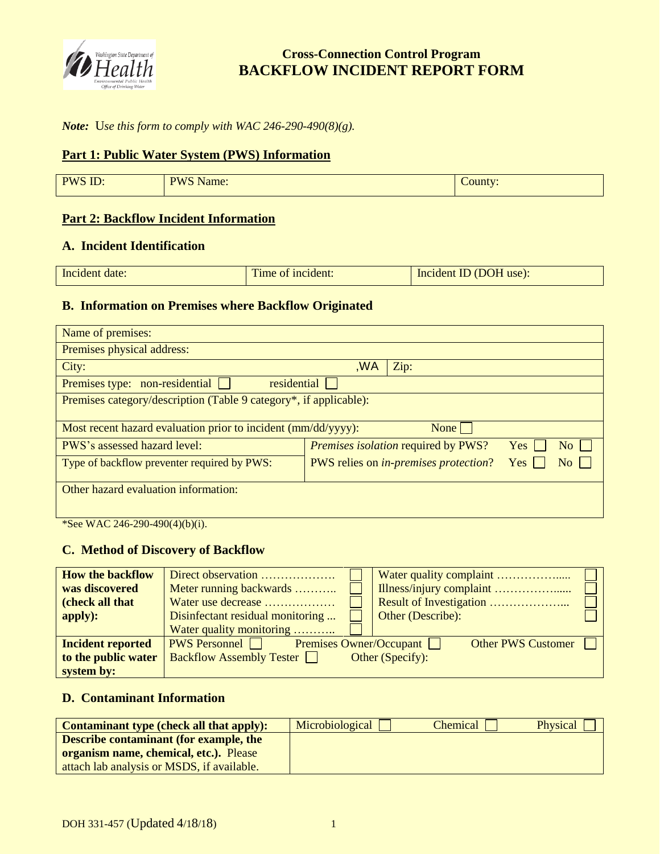

# **Cross-Connection Control Program BACKFLOW INCIDENT REPORT FORM**

### *Note:* U*se this form to comply with WAC 246-290-490(8)(g).*

#### **Part 1: Public Water System (PWS) Information**

| <b>PWS ID</b><br>n.<br><u>. שני</u> | $PWS$ <sup>*</sup><br>Name:<br>. . | County: |
|-------------------------------------|------------------------------------|---------|

# **Part 2: Backflow Incident Information**

#### **A. Incident Identification**

| Incident date: | Time of incident: | Incident ID (DOH use): |
|----------------|-------------------|------------------------|

#### **B. Information on Premises where Backflow Originated**

| Name of premises:                                                 |                                               |                           |
|-------------------------------------------------------------------|-----------------------------------------------|---------------------------|
| Premises physical address:                                        |                                               |                           |
| City:                                                             | WA,<br>Zip:                                   |                           |
| Premises type: non-residential<br>residential                     |                                               |                           |
| Premises category/description (Table 9 category*, if applicable): |                                               |                           |
| Most recent hazard evaluation prior to incident (mm/dd/yyyy):     | None                                          |                           |
| <b>PWS's assessed hazard level:</b>                               | <i>Premises isolation required by PWS?</i>    | Yes<br>$\overline{N_{0}}$ |
| Type of backflow preventer required by PWS:                       | PWS relies on <i>in-premises protection</i> ? | No    <br>Yes             |
| Other hazard evaluation information:                              |                                               |                           |
|                                                                   |                                               |                           |
|                                                                   |                                               |                           |

\*See WAC 246-290-490(4)(b)(i).

#### **C. Method of Discovery of Backflow**

| <b>How the backflow</b>  | Direct observation                           |                           |
|--------------------------|----------------------------------------------|---------------------------|
| was discovered           | Meter running backwards                      |                           |
| (check all that          | Water use decrease                           |                           |
| apply):                  | Disinfectant residual monitoring             | Other (Describe):         |
|                          | Water quality monitoring                     |                           |
| <b>Incident reported</b> | <b>PWS Personnel</b> Premises Owner/Occupant | <b>Other PWS Customer</b> |
| to the public water      | <b>Backflow Assembly Tester</b>              | Other (Specify):          |
| system by:               |                                              |                           |

#### **D. Contaminant Information**

| <b>Contaminant type (check all that apply):</b> | Microbiological | Chemical | <b>Physical</b> |
|-------------------------------------------------|-----------------|----------|-----------------|
| Describe contaminant (for example, the          |                 |          |                 |
| <b>organism name, chemical, etc.).</b> Please   |                 |          |                 |
| attach lab analysis or MSDS, if available.      |                 |          |                 |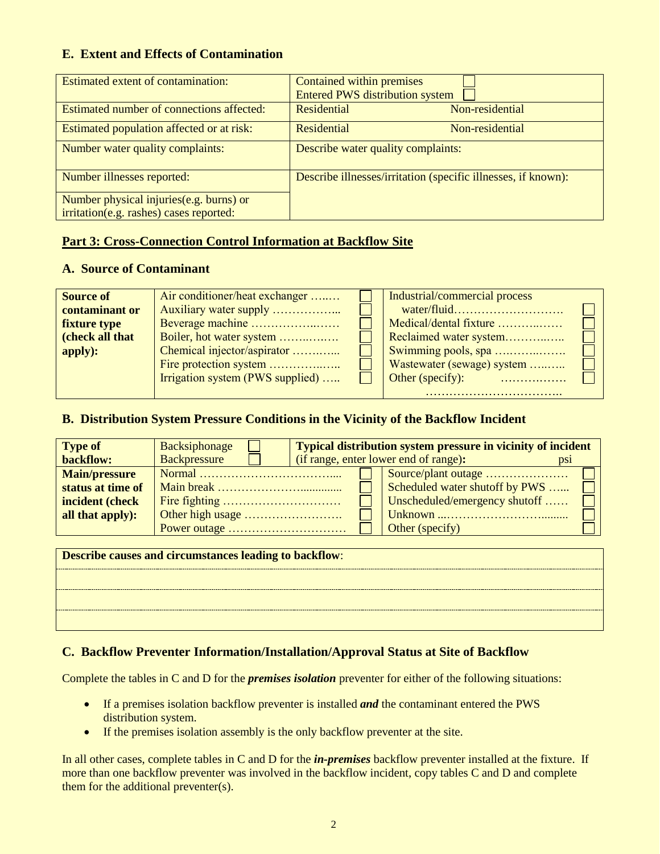#### **E. Extent and Effects of Contamination**

| Estimated extent of contamination:        | Contained within premises<br><b>Entered PWS distribution system</b> |
|-------------------------------------------|---------------------------------------------------------------------|
| Estimated number of connections affected: | <b>Residential</b><br>Non-residential                               |
| Estimated population affected or at risk: | Residential<br>Non-residential                                      |
| Number water quality complaints:          | Describe water quality complaints:                                  |
| Number illnesses reported:                | Describe illnesses/irritation (specific illnesses, if known):       |
| Number physical injuries(e.g. burns) or   |                                                                     |
| irritation(e.g. rashes) cases reported:   |                                                                     |

#### **Part 3: Cross-Connection Control Information at Backflow Site**

#### **A. Source of Contaminant**

| <b>Source of</b>    | Air conditioner/heat exchanger   | Industrial/commercial process |  |
|---------------------|----------------------------------|-------------------------------|--|
| contaminant or      |                                  |                               |  |
| <b>fixture type</b> | Beverage machine                 | Medical/dental fixture        |  |
| (check all that     | Boiler, hot water system         | Reclaimed water system        |  |
| apply):             | Chemical injector/aspirator      | Swimming pools, spa           |  |
|                     | Fire protection system           | Wastewater (sewage) system    |  |
|                     | Irrigation system (PWS supplied) |                               |  |
|                     |                                  |                               |  |

#### **B. Distribution System Pressure Conditions in the Vicinity of the Backflow Incident**

| <b>Type of</b>       | Backsiphonage                                                 |                                       | <b>Typical distribution system pressure in vicinity of incident</b> |                 |
|----------------------|---------------------------------------------------------------|---------------------------------------|---------------------------------------------------------------------|-----------------|
| backflow:            | <b>Backpressure</b>                                           | (if range, enter lower end of range): |                                                                     | D <sub>S1</sub> |
| <b>Main/pressure</b> |                                                               |                                       | Source/plant outage                                                 |                 |
| status at time of    |                                                               |                                       | Scheduled water shutoff by PWS                                      |                 |
| incident (check      |                                                               |                                       | Unscheduled/emergency shutoff                                       |                 |
| all that apply):     |                                                               |                                       |                                                                     |                 |
|                      |                                                               |                                       | Other (specify)                                                     |                 |
|                      |                                                               |                                       |                                                                     |                 |
|                      | <b>Describe causes and circumstances leading to backflow:</b> |                                       |                                                                     |                 |
|                      |                                                               |                                       |                                                                     |                 |

#### **C. Backflow Preventer Information/Installation/Approval Status at Site of Backflow**

Complete the tables in C and D for the *premises isolation* preventer for either of the following situations:

- If a premises isolation backflow preventer is installed *and* the contaminant entered the PWS distribution system.
- If the premises isolation assembly is the only backflow preventer at the site.

In all other cases, complete tables in C and D for the *in-premises* backflow preventer installed at the fixture. If more than one backflow preventer was involved in the backflow incident, copy tables C and D and complete them for the additional preventer(s).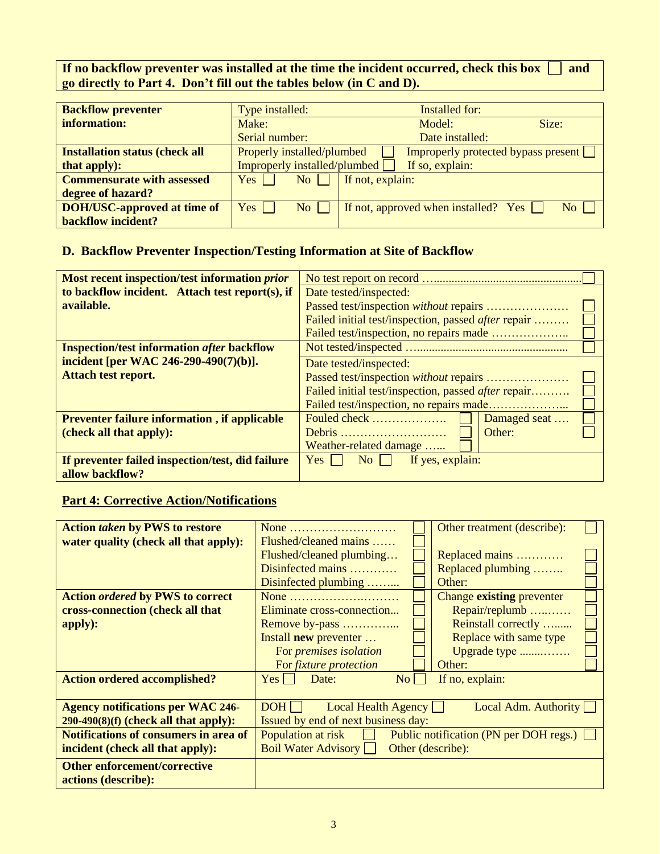If no backflow preventer was installed at the time the incident occurred, check this box  $\Box$  and **go directly to Part 4. Don't fill out the tables below (in C and D).**

| <b>Backflow preventer</b>             | Type installed:                                                          | <b>Installed for:</b>                       |                  |
|---------------------------------------|--------------------------------------------------------------------------|---------------------------------------------|------------------|
| information:                          | Make:                                                                    | Model:                                      | Size:            |
|                                       | Serial number:                                                           | Date installed:                             |                  |
| <b>Installation status (check all</b> | Properly installed/plumbed<br><b>Improperly protected bypass present</b> |                                             |                  |
| that apply):                          | Improperly installed/plumbed                                             | If so, explain:                             |                  |
| <b>Commensurate with assessed</b>     | No<br>Yes.                                                               | If not, explain:                            |                  |
| degree of hazard?                     |                                                                          |                                             |                  |
| <b>DOH/USC-approved at time of</b>    | Yes<br>No                                                                | If not, approved when installed? Yes $\Box$ | $\overline{N_0}$ |
| <b>backflow incident?</b>             |                                                                          |                                             |                  |

## **D. Backflow Preventer Inspection/Testing Information at Site of Backflow**

| Most recent inspection/test information <i>prior</i> |                                                     |  |  |
|------------------------------------------------------|-----------------------------------------------------|--|--|
| to backflow incident. Attach test report(s), if      | Date tested/inspected:                              |  |  |
| available.                                           |                                                     |  |  |
|                                                      | Failed initial test/inspection, passed after repair |  |  |
|                                                      |                                                     |  |  |
| <b>Inspection/test information after backflow</b>    |                                                     |  |  |
| incident [per WAC 246-290-490(7)(b)].                | Date tested/inspected:                              |  |  |
| <b>Attach test report.</b>                           |                                                     |  |  |
|                                                      | Failed initial test/inspection, passed after repair |  |  |
|                                                      |                                                     |  |  |
| <b>Preventer failure information, if applicable</b>  | Fouled check<br>Damaged seat                        |  |  |
| (check all that apply):                              | Other:                                              |  |  |
|                                                      | Weather-related damage                              |  |  |
| If preventer failed inspection/test, did failure     | Yes<br>If yes, explain:<br>$\overline{N_0}$         |  |  |
| allow backflow?                                      |                                                     |  |  |

# **Part 4: Corrective Action/Notifications**

| <b>Action taken by PWS to restore</b>        | None                                                         | Other treatment (describe): |  |
|----------------------------------------------|--------------------------------------------------------------|-----------------------------|--|
| water quality (check all that apply):        | $Flushed/cleaned \, \, \, \ldots$                            |                             |  |
|                                              | Flushed/cleaned plumbing                                     | Replaced mains              |  |
|                                              | Disinfected mains                                            | Replaced plumbing           |  |
|                                              | Disinfected plumbing                                         | Other:                      |  |
| <b>Action ordered by PWS to correct</b>      | None                                                         | Change existing preventer   |  |
| cross-connection (check all that             | Eliminate cross-connection                                   | Repair/replumb              |  |
| apply):                                      | Remove by-pass                                               | Reinstall correctly         |  |
|                                              | Install <b>new</b> preventer                                 | Replace with same type      |  |
|                                              | For <i>premises</i> isolation                                | Upgrade type                |  |
|                                              | For <i>fixture protection</i>                                | Other:                      |  |
| <b>Action ordered accomplished?</b>          | $\overline{N_{O}}$<br>Date:<br>Yes                           | If no, explain:             |  |
|                                              |                                                              |                             |  |
| <b>Agency notifications per WAC 246-</b>     | $DOH$  <br>Local Health Agency                               | Local Adm. Authority        |  |
| $290-490(8)(f)$ (check all that apply):      | Issued by end of next business day:                          |                             |  |
| <b>Notifications of consumers in area of</b> | Population at risk<br>Public notification (PN per DOH regs.) |                             |  |
| incident (check all that apply):             | <b>Boil Water Advisory</b><br>Other (describe):              |                             |  |
| <b>Other enforcement/corrective</b>          |                                                              |                             |  |
| actions (describe):                          |                                                              |                             |  |